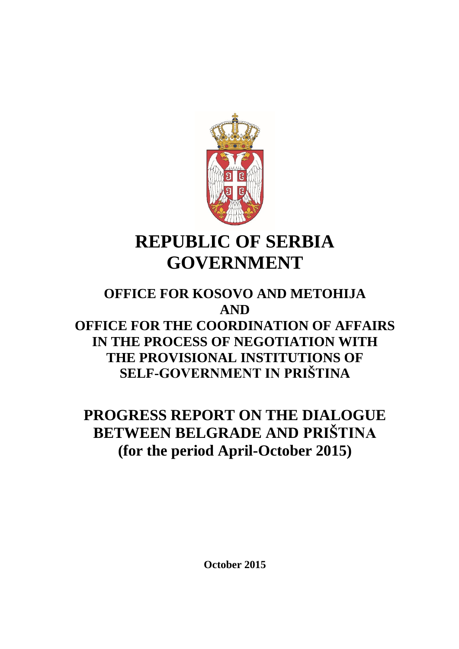

# **REPUBLIC OF SERBIA GOVERNMENT**

## **OFFICE FOR KOSOVO AND METOHIJA AND OFFICE FOR THE COORDINATION OF AFFAIRS IN THE PROCESS OF NEGOTIATION WITH THE PROVISIONAL INSTITUTIONS OF SELF-GOVERNMENT IN PRIŠTINA**

## **PROGRESS REPORT ON THE DIALOGUE BETWEEN BELGRADE AND PRIŠTINA (for the period April-October 2015)**

**October 2015**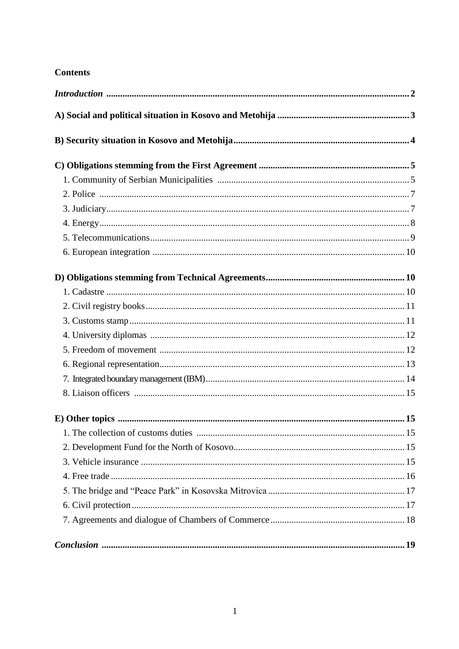## **Contents**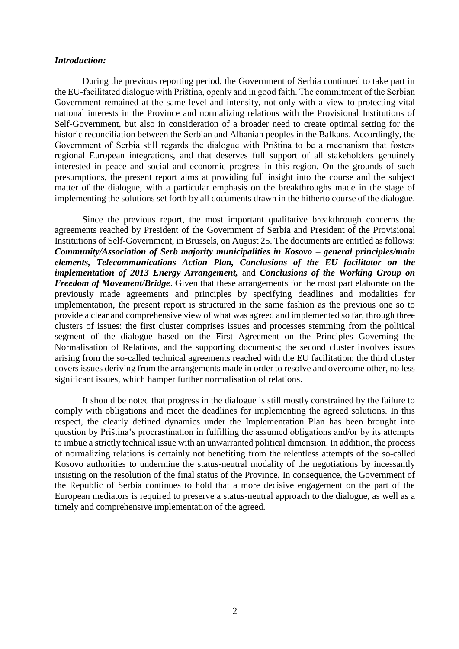#### *Introduction:*

During the previous reporting period, the Government of Serbia continued to take part in the EU-facilitated dialogue with Priština, openly and in good faith. The commitment of the Serbian Government remained at the same level and intensity, not only with a view to protecting vital national interests in the Province and normalizing relations with the Provisional Institutions of Self-Government, but also in consideration of a broader need to create optimal setting for the historic reconciliation between the Serbian and Albanian peoples in the Balkans. Accordingly, the Government of Serbia still regards the dialogue with Priština to be a mechanism that fosters regional European integrations, and that deserves full support of all stakeholders genuinely interested in peace and social and economic progress in this region. On the grounds of such presumptions, the present report aims at providing full insight into the course and the subject matter of the dialogue, with a particular emphasis on the breakthroughs made in the stage of implementing the solutions set forth by all documents drawn in the hitherto course of the dialogue.

Since the previous report, the most important qualitative breakthrough concerns the agreements reached by President of the Government of Serbia and President of the Provisional Institutions of Self-Government, in Brussels, on August 25. The documents are entitled as follows: *Community/Association of Serb majority municipalities in Kosovo – general principles/main elements, Telecommunications Action Plan, Conclusions of the EU facilitator on the implementation of 2013 Energy Arrangement,* and *Conclusions of the Working Group on Freedom of Movement/Bridge*. Given that these arrangements for the most part elaborate on the previously made agreements and principles by specifying deadlines and modalities for implementation, the present report is structured in the same fashion as the previous one so to provide a clear and comprehensive view of what was agreed and implemented so far, through three clusters of issues: the first cluster comprises issues and processes stemming from the political segment of the dialogue based on the First Agreement on the Principles Governing the Normalisation of Relations, and the supporting documents; the second cluster involves issues arising from the so-called technical agreements reached with the EU facilitation; the third cluster covers issues deriving from the arrangements made in order to resolve and overcome other, no less significant issues, which hamper further normalisation of relations.

It should be noted that progress in the dialogue is still mostly constrained by the failure to comply with obligations and meet the deadlines for implementing the agreed solutions. In this respect, the clearly defined dynamics under the Implementation Plan has been brought into question by Priština's procrastination in fulfilling the assumed obligations and/or by its attempts to imbue a strictly technical issue with an unwarranted political dimension. In addition, the process of normalizing relations is certainly not benefiting from the relentless attempts of the so-called Kosovo authorities to undermine the status-neutral modality of the negotiations by incessantly insisting on the resolution of the final status of the Province. In consequence, the Government of the Republic of Serbia continues to hold that a more decisive engagement on the part of the European mediators is required to preserve a status-neutral approach to the dialogue, as well as a timely and comprehensive implementation of the agreed.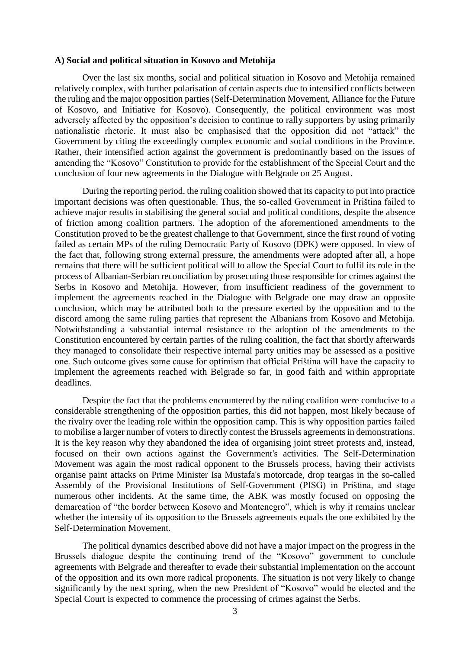#### **A) Social and political situation in Kosovo and Metohija**

Over the last six months, social and political situation in Kosovo and Metohija remained relatively complex, with further polarisation of certain aspects due to intensified conflicts between the ruling and the major opposition parties (Self-Determination Movement, Alliance for the Future of Kosovo, and Initiative for Kosovo). Consequently, the political environment was most adversely affected by the opposition's decision to continue to rally supporters by using primarily nationalistic rhetoric. It must also be emphasised that the opposition did not "attack" the Government by citing the exceedingly complex economic and social conditions in the Province. Rather, their intensified action against the government is predominantly based on the issues of amending the "Kosovo" Constitution to provide for the establishment of the Special Court and the conclusion of four new agreements in the Dialogue with Belgrade on 25 August.

During the reporting period, the ruling coalition showed that its capacity to put into practice important decisions was often questionable. Thus, the so-called Government in Priština failed to achieve major results in stabilising the general social and political conditions, despite the absence of friction among coalition partners. The adoption of the aforementioned amendments to the Constitution proved to be the greatest challenge to that Government, since the first round of voting failed as certain MPs of the ruling Democratic Party of Kosovo (DPK) were opposed. In view of the fact that, following strong external pressure, the amendments were adopted after all, a hope remains that there will be sufficient political will to allow the Special Court to fulfil its role in the process of Albanian-Serbian reconciliation by prosecuting those responsible for crimes against the Serbs in Kosovo and Metohija. However, from insufficient readiness of the government to implement the agreements reached in the Dialogue with Belgrade one may draw an opposite conclusion, which may be attributed both to the pressure exerted by the opposition and to the discord among the same ruling parties that represent the Albanians from Kosovo and Metohija. Notwithstanding a substantial internal resistance to the adoption of the amendments to the Constitution encountered by certain parties of the ruling coalition, the fact that shortly afterwards they managed to consolidate their respective internal party unities may be assessed as a positive one. Such outcome gives some cause for optimism that official Priština will have the capacity to implement the agreements reached with Belgrade so far, in good faith and within appropriate deadlines.

Despite the fact that the problems encountered by the ruling coalition were conducive to a considerable strengthening of the opposition parties, this did not happen, most likely because of the rivalry over the leading role within the opposition camp. This is why opposition parties failed to mobilise a larger number of voters to directly contest the Brussels agreements in demonstrations. It is the key reason why they abandoned the idea of organising joint street protests and, instead, focused on their own actions against the Government's activities. The Self-Determination Movement was again the most radical opponent to the Brussels process, having their activists organise paint attacks on Prime Minister Isa Mustafa's motorcade, drop teargas in the so-called Assembly of the Provisional Institutions of Self-Government (PISG) in Priština, and stage numerous other incidents. At the same time, the ABK was mostly focused on opposing the demarcation of "the border between Kosovo and Montenegro", which is why it remains unclear whether the intensity of its opposition to the Brussels agreements equals the one exhibited by the Self-Determination Movement.

The political dynamics described above did not have a major impact on the progress in the Brussels dialogue despite the continuing trend of the "Kosovo" government to conclude agreements with Belgrade and thereafter to evade their substantial implementation on the account of the opposition and its own more radical proponents. The situation is not very likely to change significantly by the next spring, when the new President of "Kosovo" would be elected and the Special Court is expected to commence the processing of crimes against the Serbs.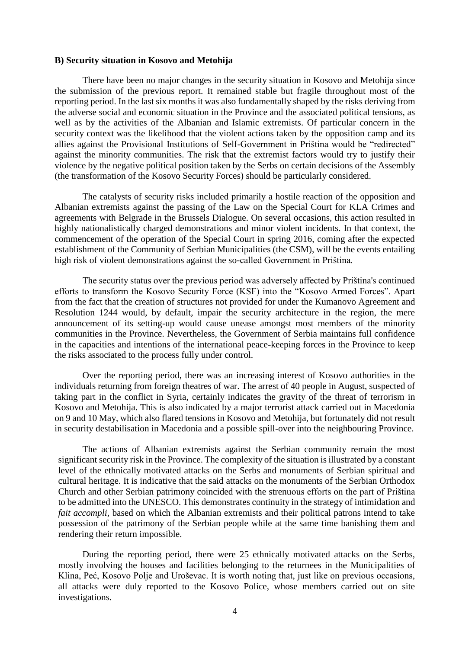#### **B) Security situation in Kosovo and Metohija**

There have been no major changes in the security situation in Kosovo and Metohija since the submission of the previous report. It remained stable but fragile throughout most of the reporting period. In the last six months it was also fundamentally shaped by the risks deriving from the adverse social and economic situation in the Province and the associated political tensions, as well as by the activities of the Albanian and Islamic extremists. Of particular concern in the security context was the likelihood that the violent actions taken by the opposition camp and its allies against the Provisional Institutions of Self-Government in Priština would be "redirected" against the minority communities. The risk that the extremist factors would try to justify their violence by the negative political position taken by the Serbs on certain decisions of the Assembly (the transformation of the Kosovo Security Forces) should be particularly considered.

The catalysts of security risks included primarily a hostile reaction of the opposition and Albanian extremists against the passing of the Law on the Special Court for KLA Crimes and agreements with Belgrade in the Brussels Dialogue. On several occasions, this action resulted in highly nationalistically charged demonstrations and minor violent incidents. In that context, the commencement of the operation of the Special Court in spring 2016, coming after the expected establishment of the Community of Serbian Municipalities (the CSM), will be the events entailing high risk of violent demonstrations against the so-called Government in Priština.

The security status over the previous period was adversely affected by Priština's continued efforts to transform the Kosovo Security Force (KSF) into the "Kosovo Armed Forces". Apart from the fact that the creation of structures not provided for under the Kumanovo Agreement and Resolution 1244 would, by default, impair the security architecture in the region, the mere announcement of its setting-up would cause unease amongst most members of the minority communities in the Province. Nevertheless, the Government of Serbia maintains full confidence in the capacities and intentions of the international peace-keeping forces in the Province to keep the risks associated to the process fully under control.

Over the reporting period, there was an increasing interest of Kosovo authorities in the individuals returning from foreign theatres of war. The arrest of 40 people in August, suspected of taking part in the conflict in Syria, certainly indicates the gravity of the threat of terrorism in Kosovo and Metohija. This is also indicated by a major terrorist attack carried out in Macedonia on 9 and 10 May, which also flared tensions in Kosovo and Metohija, but fortunately did not result in security destabilisation in Macedonia and a possible spill-over into the neighbouring Province.

The actions of Albanian extremists against the Serbian community remain the most significant security risk in the Province. The complexity of the situation is illustrated by a constant level of the ethnically motivated attacks on the Serbs and monuments of Serbian spiritual and cultural heritage. It is indicative that the said attacks on the monuments of the Serbian Orthodox Church and other Serbian patrimony coincided with the strenuous efforts on the part of Priština to be admitted into the UNESCO. This demonstrates continuity in the strategy of intimidation and *fait accompli*, based on which the Albanian extremists and their political patrons intend to take possession of the patrimony of the Serbian people while at the same time banishing them and rendering their return impossible.

During the reporting period, there were 25 ethnically motivated attacks on the Serbs, mostly involving the houses and facilities belonging to the returnees in the Municipalities of Klina, Peć, Kosovo Polje and Uroševac. It is worth noting that, just like on previous occasions, all attacks were duly reported to the Kosovo Police, whose members carried out on site investigations.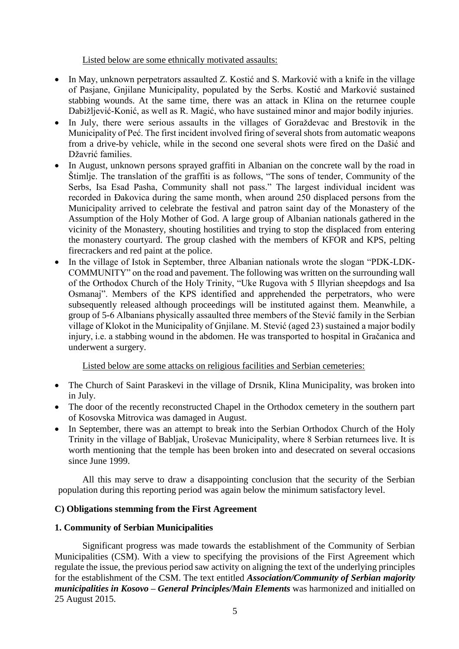Listed below are some ethnically motivated assaults:

- In May, unknown perpetrators assaulted Z. Kostić and S. Marković with a knife in the village of Pasjane, Gnjilane Municipality, populated by the Serbs. Kostić and Marković sustained stabbing wounds. At the same time, there was an attack in Klina on the returnee couple Dabižljević-Konić, as well as R. Magić, who have sustained minor and major bodily injuries.
- In July, there were serious assaults in the villages of Goraždevac and Brestovik in the Municipality of Peć. The first incident involved firing of several shots from automatic weapons from a drive-by vehicle, while in the second one several shots were fired on the Dašić and Džavrić families.
- In August, unknown persons sprayed graffiti in Albanian on the concrete wall by the road in Štimlje. The translation of the graffiti is as follows, "The sons of tender, Community of the Serbs, Isa Esad Pasha, Community shall not pass." The largest individual incident was recorded in Đakovica during the same month, when around 250 displaced persons from the Municipality arrived to celebrate the festival and patron saint day of the Monastery of the Assumption of the Holy Mother of God. A large group of Albanian nationals gathered in the vicinity of the Monastery, shouting hostilities and trying to stop the displaced from entering the monastery courtyard. The group clashed with the members of KFOR and KPS, pelting firecrackers and red paint at the police.
- In the village of Istok in September, three Albanian nationals wrote the slogan "PDK-LDK-COMMUNITY" on the road and pavement. The following was written on the surrounding wall of the Orthodox Church of the Holy Trinity, "Uke Rugova with 5 Illyrian sheepdogs and Isa Osmanaj". Members of the KPS identified and apprehended the perpetrators, who were subsequently released although proceedings will be instituted against them. Meanwhile, a group of 5-6 Albanians physically assaulted three members of the Stević family in the Serbian village of Klokot in the Municipality of Gnjilane. M. Stević (aged 23) sustained a major bodily injury, i.e. a stabbing wound in the abdomen. He was transported to hospital in Gračanica and underwent a surgery.

Listed below are some attacks on religious facilities and Serbian cemeteries:

- The Church of Saint Paraskevi in the village of Drsnik, Klina Municipality, was broken into in July.
- The door of the recently reconstructed Chapel in the Orthodox cemetery in the southern part of Kosovska Mitrovica was damaged in August.
- In September, there was an attempt to break into the Serbian Orthodox Church of the Holy Trinity in the village of Babljak, Uroševac Municipality, where 8 Serbian returnees live. It is worth mentioning that the temple has been broken into and desecrated on several occasions since June 1999.

All this may serve to draw a disappointing conclusion that the security of the Serbian population during this reporting period was again below the minimum satisfactory level.

## **C) Obligations stemming from the First Agreement**

## **1. Community of Serbian Municipalities**

Significant progress was made towards the establishment of the Community of Serbian Municipalities (CSM). With a view to specifying the provisions of the First Agreement which regulate the issue, the previous period saw activity on aligning the text of the underlying principles for the establishment of the CSM. The text entitled *Association/Community of Serbian majority municipalities in Kosovo – General Principles/Main Elements* was harmonized and initialled on 25 August 2015.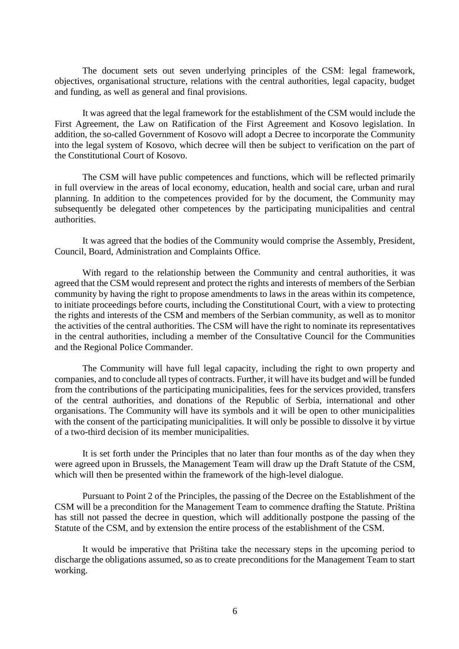The document sets out seven underlying principles of the CSM: legal framework, objectives, organisational structure, relations with the central authorities, legal capacity, budget and funding, as well as general and final provisions.

It was agreed that the legal framework for the establishment of the CSM would include the First Agreement, the Law on Ratification of the First Agreement and Kosovo legislation. In addition, the so-called Government of Kosovo will adopt a Decree to incorporate the Community into the legal system of Kosovo, which decree will then be subject to verification on the part of the Constitutional Court of Kosovo.

The CSM will have public competences and functions, which will be reflected primarily in full overview in the areas of local economy, education, health and social care, urban and rural planning. In addition to the competences provided for by the document, the Community may subsequently be delegated other competences by the participating municipalities and central authorities.

It was agreed that the bodies of the Community would comprise the Assembly, President, Council, Board, Administration and Complaints Office.

With regard to the relationship between the Community and central authorities, it was agreed that the CSM would represent and protect the rights and interests of members of the Serbian community by having the right to propose amendments to laws in the areas within its competence, to initiate proceedings before courts, including the Constitutional Court, with a view to protecting the rights and interests of the CSM and members of the Serbian community, as well as to monitor the activities of the central authorities. The CSM will have the right to nominate its representatives in the central authorities, including a member of the Consultative Council for the Communities and the Regional Police Commander.

The Community will have full legal capacity, including the right to own property and companies, and to conclude all types of contracts. Further, it will have its budget and will be funded from the contributions of the participating municipalities, fees for the services provided, transfers of the central authorities, and donations of the Republic of Serbia, international and other organisations. The Community will have its symbols and it will be open to other municipalities with the consent of the participating municipalities. It will only be possible to dissolve it by virtue of a two-third decision of its member municipalities.

It is set forth under the Principles that no later than four months as of the day when they were agreed upon in Brussels, the Management Team will draw up the Draft Statute of the CSM, which will then be presented within the framework of the high-level dialogue.

Pursuant to Point 2 of the Principles, the passing of the Decree on the Establishment of the CSM will be a precondition for the Management Team to commence drafting the Statute. Priština has still not passed the decree in question, which will additionally postpone the passing of the Statute of the CSM, and by extension the entire process of the establishment of the CSM.

It would be imperative that Priština take the necessary steps in the upcoming period to discharge the obligations assumed, so as to create preconditions for the Management Team to start working.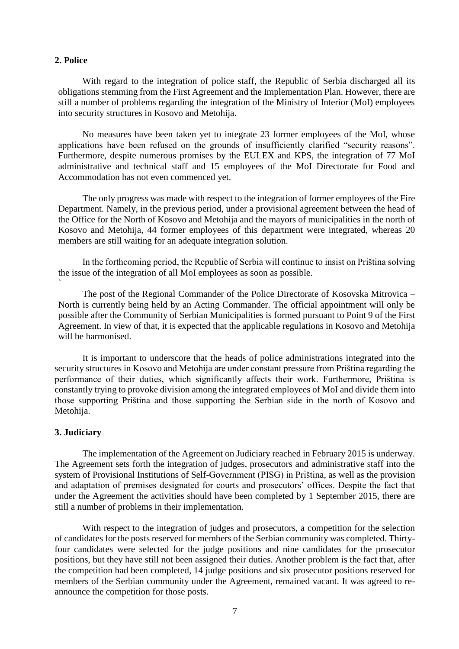#### **2. Police**

With regard to the integration of police staff, the Republic of Serbia discharged all its obligations stemming from the First Agreement and the Implementation Plan. However, there are still a number of problems regarding the integration of the Ministry of Interior (MoI) employees into security structures in Kosovo and Metohija.

No measures have been taken yet to integrate 23 former employees of the MoI, whose applications have been refused on the grounds of insufficiently clarified "security reasons". Furthermore, despite numerous promises by the EULEX and KPS, the integration of 77 MoI administrative and technical staff and 15 employees of the MoI Directorate for Food and Accommodation has not even commenced yet.

The only progress was made with respect to the integration of former employees of the Fire Department. Namely, in the previous period, under a provisional agreement between the head of the Office for the North of Kosovo and Metohija and the mayors of municipalities in the north of Kosovo and Metohija, 44 former employees of this department were integrated, whereas 20 members are still waiting for an adequate integration solution.

In the forthcoming period, the Republic of Serbia will continue to insist on Priština solving the issue of the integration of all MoI employees as soon as possible. `

The post of the Regional Commander of the Police Directorate of Kosovska Mitrovica – North is currently being held by an Acting Commander. The official appointment will only be possible after the Community of Serbian Municipalities is formed pursuant to Point 9 of the First Agreement. In view of that, it is expected that the applicable regulations in Kosovo and Metohija will be harmonised.

It is important to underscore that the heads of police administrations integrated into the security structures in Kosovo and Metohija are under constant pressure from Priština regarding the performance of their duties, which significantly affects their work. Furthermore, Priština is constantly trying to provoke division among the integrated employees of MoI and divide them into those supporting Priština and those supporting the Serbian side in the north of Kosovo and Metohija.

#### **3. Judiciary**

The implementation of the Agreement on Judiciary reached in February 2015 is underway. The Agreement sets forth the integration of judges, prosecutors and administrative staff into the system of Provisional Institutions of Self-Government (PISG) in Priština, as well as the provision and adaptation of premises designated for courts and prosecutors' offices. Despite the fact that under the Agreement the activities should have been completed by 1 September 2015, there are still a number of problems in their implementation.

With respect to the integration of judges and prosecutors, a competition for the selection of candidates for the posts reserved for members of the Serbian community was completed. Thirtyfour candidates were selected for the judge positions and nine candidates for the prosecutor positions, but they have still not been assigned their duties. Another problem is the fact that, after the competition had been completed, 14 judge positions and six prosecutor positions reserved for members of the Serbian community under the Agreement, remained vacant. It was agreed to reannounce the competition for those posts.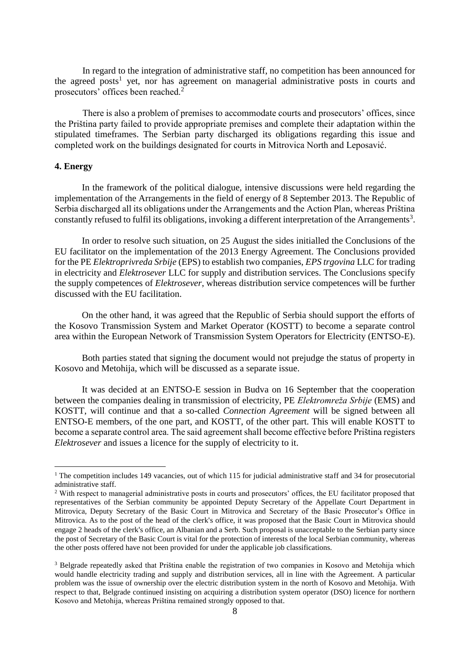In regard to the integration of administrative staff, no competition has been announced for the agreed posts<sup>1</sup> yet, nor has agreement on managerial administrative posts in courts and prosecutors' offices been reached.<sup>2</sup>

There is also a problem of premises to accommodate courts and prosecutors' offices, since the Priština party failed to provide appropriate premises and complete their adaptation within the stipulated timeframes. The Serbian party discharged its obligations regarding this issue and completed work on the buildings designated for courts in Mitrovica North and Leposavić.

#### **4. Energy**

 $\overline{a}$ 

In the framework of the political dialogue, intensive discussions were held regarding the implementation of the Arrangements in the field of energy of 8 September 2013. The Republic of Serbia discharged all its obligations under the Arrangements and the Action Plan, whereas Priština constantly refused to fulfil its obligations, invoking a different interpretation of the Arrangements<sup>3</sup>.

In order to resolve such situation, on 25 August the sides initialled the Conclusions of the EU facilitator on the implementation of the 2013 Energy Agreement. The Conclusions provided for the PE *Elektroprivreda Srbije* (EPS) to establish two companies, *EPS trgovina* LLC for trading in electricity and *Elektrosever* LLC for supply and distribution services. The Conclusions specify the supply competences of *Elektrosever*, whereas distribution service competences will be further discussed with the EU facilitation.

On the other hand, it was agreed that the Republic of Serbia should support the efforts of the Kosovo Transmission System and Market Operator (KOSTT) to become a separate control area within the European Network of Transmission System Operators for Electricity (ENTSO-E).

Both parties stated that signing the document would not prejudge the status of property in Kosovo and Metohija, which will be discussed as a separate issue.

It was decided at an ENTSO-E session in Budva on 16 September that the cooperation between the companies dealing in transmission of electricity, PE *Elektromreža Srbije* (EMS) and KOSTT, will continue and that a so-called *Connection Agreement* will be signed between all ENTSO-E members, of the one part, and KOSTT, of the other part. This will enable KOSTT to become a separate control area. The said agreement shall become effective before Priština registers *Elektrosever* and issues a licence for the supply of electricity to it.

<sup>&</sup>lt;sup>1</sup> The competition includes 149 vacancies, out of which 115 for judicial administrative staff and 34 for prosecutorial administrative staff.

<sup>&</sup>lt;sup>2</sup> With respect to managerial administrative posts in courts and prosecutors' offices, the EU facilitator proposed that representatives of the Serbian community be appointed Deputy Secretary of the Appellate Court Department in Mitrovica, Deputy Secretary of the Basic Court in Mitrovica and Secretary of the Basic Prosecutor's Office in Mitrovica. As to the post of the head of the clerk's office, it was proposed that the Basic Court in Mitrovica should engage 2 heads of the clerk's office, an Albanian and a Serb. Such proposal is unacceptable to the Serbian party since the post of Secretary of the Basic Court is vital for the protection of interests of the local Serbian community, whereas the other posts offered have not been provided for under the applicable job classifications.

<sup>&</sup>lt;sup>3</sup> Belgrade repeatedly asked that Priština enable the registration of two companies in Kosovo and Metohija which would handle electricity trading and supply and distribution services, all in line with the Agreement. A particular problem was the issue of ownership over the electric distribution system in the north of Kosovo and Metohija. With respect to that, Belgrade continued insisting on acquiring a distribution system operator (DSO) licence for northern Kosovo and Metohija, whereas Priština remained strongly opposed to that.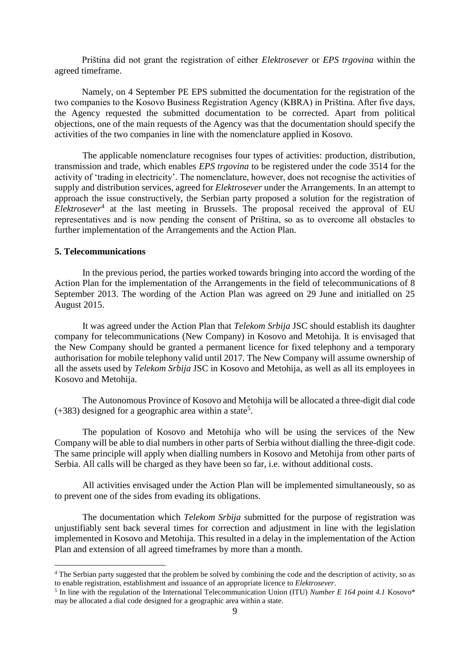Priština did not grant the registration of either *Elektrosever* or *EPS trgovina* within the agreed timeframe.

Namely, on 4 September PE EPS submitted the documentation for the registration of the two companies to the Kosovo Business Registration Agency (KBRA) in Priština. After five days, the Agency requested the submitted documentation to be corrected. Apart from political objections, one of the main requests of the Agency was that the documentation should specify the activities of the two companies in line with the nomenclature applied in Kosovo.

The applicable nomenclature recognises four types of activities: production, distribution, transmission and trade, which enables *EPS trgovina* to be registered under the code 3514 for the activity of 'trading in electricity'. The nomenclature, however, does not recognise the activities of supply and distribution services, agreed for *Elektrosever* under the Arrangements. In an attempt to approach the issue constructively, the Serbian party proposed a solution for the registration of *Elektrosever*<sup>4</sup> at the last meeting in Brussels. The proposal received the approval of EU representatives and is now pending the consent of Priština, so as to overcome all obstacles to further implementation of the Arrangements and the Action Plan.

### **5. Telecommunications**

 $\overline{a}$ 

In the previous period, the parties worked towards bringing into accord the wording of the Action Plan for the implementation of the Arrangements in the field of telecommunications of 8 September 2013. The wording of the Action Plan was agreed on 29 June and initialled on 25 August 2015.

It was agreed under the Action Plan that *Telekom Srbija* JSC should establish its daughter company for telecommunications (New Company) in Kosovo and Metohija. It is envisaged that the New Company should be granted a permanent licence for fixed telephony and a temporary authorisation for mobile telephony valid until 2017. The New Company will assume ownership of all the assets used by *Telekom Srbija* JSC in Kosovo and Metohija, as well as all its employees in Kosovo and Metohija.

The Autonomous Province of Kosovo and Metohija will be allocated a three-digit dial code  $(+383)$  designed for a geographic area within a state<sup>5</sup>.

The population of Kosovo and Metohija who will be using the services of the New Company will be able to dial numbers in other parts of Serbia without dialling the three-digit code. The same principle will apply when dialling numbers in Kosovo and Metohija from other parts of Serbia. All calls will be charged as they have been so far, i.e. without additional costs.

All activities envisaged under the Action Plan will be implemented simultaneously, so as to prevent one of the sides from evading its obligations.

The documentation which *Telekom Srbija* submitted for the purpose of registration was unjustifiably sent back several times for correction and adjustment in line with the legislation implemented in Kosovo and Metohija. This resulted in a delay in the implementation of the Action Plan and extension of all agreed timeframes by more than a month.

<sup>&</sup>lt;sup>4</sup> The Serbian party suggested that the problem be solved by combining the code and the description of activity, so as to enable registration, establishment and issuance of an appropriate licence to *Elektrosever*.

<sup>&</sup>lt;sup>5</sup> In line with the regulation of the International Telecommunication Union (ITU) *Number E 164 point 4.1* Kosovo\* may be allocated a dial code designed for a geographic area within a state.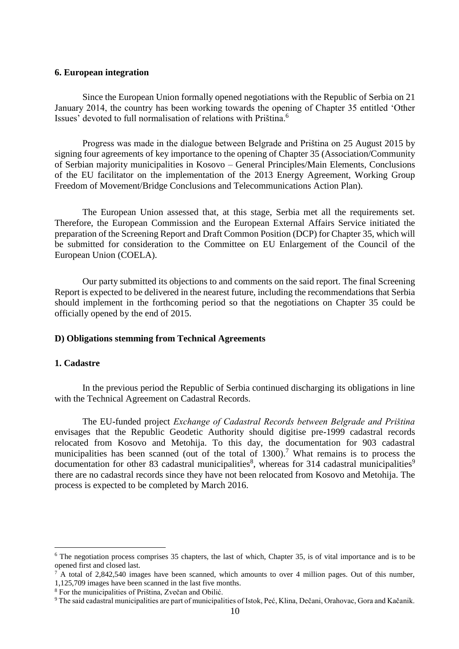#### **6. European integration**

Since the European Union formally opened negotiations with the Republic of Serbia on 21 January 2014, the country has been working towards the opening of Chapter 35 entitled 'Other Issues' devoted to full normalisation of relations with Priština.<sup>6</sup>

Progress was made in the dialogue between Belgrade and Priština on 25 August 2015 by signing four agreements of key importance to the opening of Chapter 35 (Association/Community of Serbian majority municipalities in Kosovo – General Principles/Main Elements, Conclusions of the EU facilitator on the implementation of the 2013 Energy Agreement, Working Group Freedom of Movement/Bridge Conclusions and Telecommunications Action Plan).

The European Union assessed that, at this stage, Serbia met all the requirements set. Therefore, the European Commission and the European External Affairs Service initiated the preparation of the Screening Report and Draft Common Position (DCP) for Chapter 35, which will be submitted for consideration to the Committee on EU Enlargement of the Council of the European Union (COELA).

Our party submitted its objections to and comments on the said report. The final Screening Report is expected to be delivered in the nearest future, including the recommendations that Serbia should implement in the forthcoming period so that the negotiations on Chapter 35 could be officially opened by the end of 2015.

#### **D) Obligations stemming from Technical Agreements**

#### **1. Cadastre**

 $\overline{a}$ 

In the previous period the Republic of Serbia continued discharging its obligations in line with the Technical Agreement on Cadastral Records.

The EU-funded project *Exchange of Cadastral Records between Belgrade and Priština* envisages that the Republic Geodetic Authority should digitise pre-1999 cadastral records relocated from Kosovo and Metohija. To this day, the documentation for 903 cadastral municipalities has been scanned (out of the total of  $1300$ ).<sup>7</sup> What remains is to process the documentation for other 83 cadastral municipalities<sup>8</sup>, whereas for 314 cadastral municipalities<sup>9</sup> there are no cadastral records since they have not been relocated from Kosovo and Metohija. The process is expected to be completed by March 2016.

<sup>&</sup>lt;sup>6</sup> The negotiation process comprises 35 chapters, the last of which, Chapter 35, is of vital importance and is to be opened first and closed last.

 $7^7$ A total of 2,842,540 images have been scanned, which amounts to over 4 million pages. Out of this number, 1,125,709 images have been scanned in the last five months.

<sup>8</sup> For the municipalities of Priština, Zvečan and Obilić.

<sup>9</sup> The said cadastral municipalities are part of municipalities of Istok, Peć, Klina, Dečani, Orahovac, Gora and Kačanik.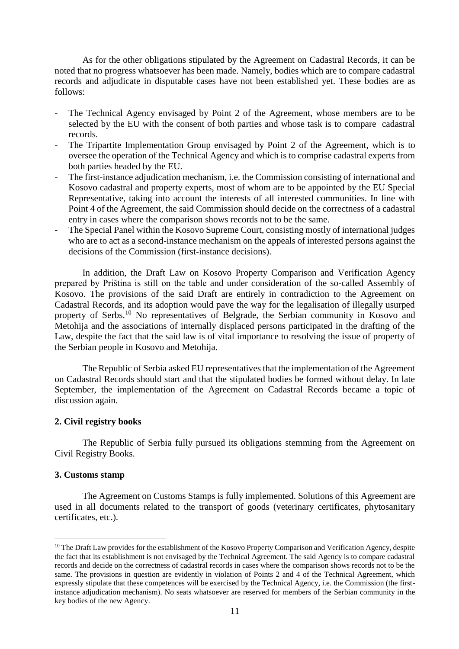As for the other obligations stipulated by the Agreement on Cadastral Records, it can be noted that no progress whatsoever has been made. Namely, bodies which are to compare cadastral records and adjudicate in disputable cases have not been established yet. These bodies are as follows:

- The Technical Agency envisaged by Point 2 of the Agreement, whose members are to be selected by the EU with the consent of both parties and whose task is to compare cadastral records.
- The Tripartite Implementation Group envisaged by Point 2 of the Agreement, which is to oversee the operation of the Technical Agency and which is to comprise cadastral experts from both parties headed by the EU.
- The first-instance adjudication mechanism, i.e. the Commission consisting of international and Kosovo cadastral and property experts, most of whom are to be appointed by the EU Special Representative, taking into account the interests of all interested communities. In line with Point 4 of the Agreement, the said Commission should decide on the correctness of a cadastral entry in cases where the comparison shows records not to be the same.
- The Special Panel within the Kosovo Supreme Court, consisting mostly of international judges who are to act as a second-instance mechanism on the appeals of interested persons against the decisions of the Commission (first-instance decisions).

In addition, the Draft Law on Kosovo Property Comparison and Verification Agency prepared by Priština is still on the table and under consideration of the so-called Assembly of Kosovo. The provisions of the said Draft are entirely in contradiction to the Agreement on Cadastral Records, and its adoption would pave the way for the legalisation of illegally usurped property of Serbs.<sup>10</sup> No representatives of Belgrade, the Serbian community in Kosovo and Metohija and the associations of internally displaced persons participated in the drafting of the Law, despite the fact that the said law is of vital importance to resolving the issue of property of the Serbian people in Kosovo and Metohija.

The Republic of Serbia asked EU representatives that the implementation of the Agreement on Cadastral Records should start and that the stipulated bodies be formed without delay. In late September, the implementation of the Agreement on Cadastral Records became a topic of discussion again.

#### **2. Civil registry books**

The Republic of Serbia fully pursued its obligations stemming from the Agreement on Civil Registry Books.

#### **3. Customs stamp**

 $\overline{a}$ 

The Agreement on Customs Stamps is fully implemented. Solutions of this Agreement are used in all documents related to the transport of goods (veterinary certificates, phytosanitary certificates, etc.).

 $10$  The Draft Law provides for the establishment of the Kosovo Property Comparison and Verification Agency, despite the fact that its establishment is not envisaged by the Technical Agreement. The said Agency is to compare cadastral records and decide on the correctness of cadastral records in cases where the comparison shows records not to be the same. The provisions in question are evidently in violation of Points 2 and 4 of the Technical Agreement, which expressly stipulate that these competences will be exercised by the Technical Agency, i.e. the Commission (the firstinstance adjudication mechanism). No seats whatsoever are reserved for members of the Serbian community in the key bodies of the new Agency.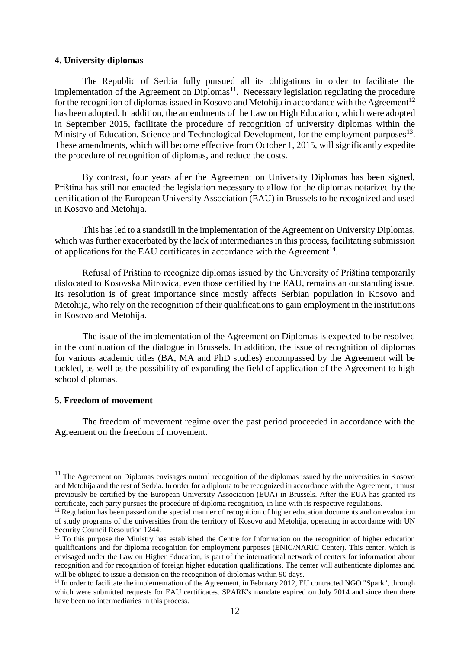#### **4. University diplomas**

The Republic of Serbia fully pursued all its obligations in order to facilitate the implementation of the Agreement on Diplomas<sup>11</sup>. Necessary legislation regulating the procedure for the recognition of diplomas issued in Kosovo and Metohija in accordance with the Agreement<sup>12</sup> has been adopted. In addition, the amendments of the Law on High Education, which were adopted in September 2015, facilitate the procedure of recognition of university diplomas within the Ministry of Education, Science and Technological Development, for the employment purposes<sup>13</sup>. These amendments, which will become effective from October 1, 2015, will significantly expedite the procedure of recognition of diplomas, and reduce the costs.

By contrast, four years after the Agreement on University Diplomas has been signed, Priština has still not enacted the legislation necessary to allow for the diplomas notarized by the certification of the European University Association (EAU) in Brussels to be recognized and used in Kosovo and Metohija.

This has led to a standstill in the implementation of the Agreement on University Diplomas, which was further exacerbated by the lack of intermediaries in this process, facilitating submission of applications for the EAU certificates in accordance with the Agreement<sup>14</sup>.

Refusal of Priština to recognize diplomas issued by the University of Priština temporarily dislocated to Kosovska Mitrovica, even those certified by the EAU, remains an outstanding issue. Its resolution is of great importance since mostly affects Serbian population in Kosovo and Metohija, who rely on the recognition of their qualifications to gain employment in the institutions in Kosovo and Metohija.

The issue of the implementation of the Agreement on Diplomas is expected to be resolved in the continuation of the dialogue in Brussels. In addition, the issue of recognition of diplomas for various academic titles (BA, MA and PhD studies) encompassed by the Agreement will be tackled, as well as the possibility of expanding the field of application of the Agreement to high school diplomas.

#### **5. Freedom of movement**

 $\overline{a}$ 

The freedom of movement regime over the past period proceeded in accordance with the Agreement on the freedom of movement.

<sup>&</sup>lt;sup>11</sup> The Agreement on Diplomas envisages mutual recognition of the diplomas issued by the universities in Kosovo and Metohija and the rest of Serbia. In order for a diploma to be recognized in accordance with the Agreement, it must previously be certified by the European University Association (EUA) in Brussels. After the EUA has granted its certificate, each party pursues the procedure of diploma recognition, in line with its respective regulations.

<sup>&</sup>lt;sup>12</sup> Regulation has been passed on the special manner of recognition of higher education documents and on evaluation of study programs of the universities from the territory of Kosovo and Metohija, operating in accordance with UN Security Council Resolution 1244.

<sup>&</sup>lt;sup>13</sup> To this purpose the Ministry has established the Centre for Information on the recognition of higher education qualifications and for diploma recognition for employment purposes (ENIC/NARIC Center). This center, which is envisaged under the Law on Higher Education, is part of the international network of centers for information about recognition and for recognition of foreign higher education qualifications. The center will authenticate diplomas and will be obliged to issue a decision on the recognition of diplomas within 90 days.

<sup>&</sup>lt;sup>14</sup> In order to facilitate the implementation of the Agreement, in February 2012, EU contracted NGO "Spark", through which were submitted requests for EAU certificates. SPARK's mandate expired on July 2014 and since then there have been no intermediaries in this process.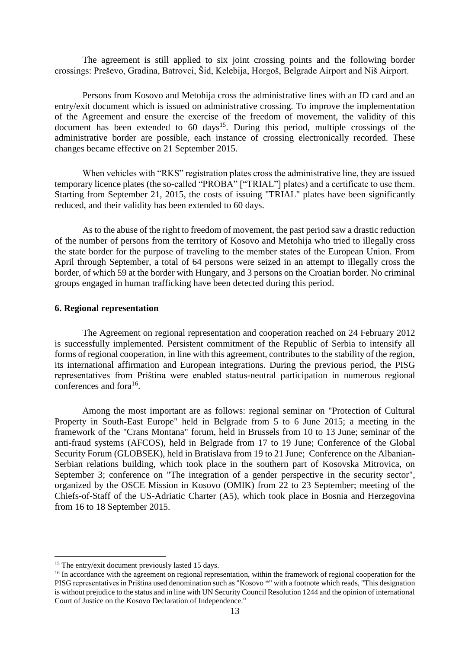The agreement is still applied to six joint crossing points and the following border crossings: Preševo, Gradina, Batrovci, Šid, Kelebija, Horgoš, Belgrade Airport and Niš Airport.

Persons from Kosovo and Metohija cross the administrative lines with an ID card and an entry/exit document which is issued on administrative crossing. To improve the implementation of the Agreement and ensure the exercise of the freedom of movement, the validity of this document has been extended to  $60 \text{ days}^{15}$ . During this period, multiple crossings of the administrative border are possible, each instance of crossing electronically recorded. These changes became effective on 21 September 2015.

When vehicles with "RKS" registration plates cross the administrative line, they are issued temporary licence plates (the so-called "PROBA" ["TRIAL"] plates) and a certificate to use them. Starting from September 21, 2015, the costs of issuing "TRIAL" plates have been significantly reduced, and their validity has been extended to 60 days.

As to the abuse of the right to freedom of movement, the past period saw a drastic reduction of the number of persons from the territory of Kosovo and Metohija who tried to illegally cross the state border for the purpose of traveling to the member states of the European Union. From April through September, a total of 64 persons were seized in an attempt to illegally cross the border, of which 59 at the border with Hungary, and 3 persons on the Croatian border. No criminal groups engaged in human trafficking have been detected during this period.

#### **6. Regional representation**

The Agreement on regional representation and cooperation reached on 24 February 2012 is successfully implemented. Persistent commitment of the Republic of Serbia to intensify all forms of regional cooperation, in line with this agreement, contributes to the stability of the region, its international affirmation and European integrations. During the previous period, the PISG representatives from Priština were enabled status-neutral participation in numerous regional conferences and fora<sup>16</sup>.

Among the most important are as follows: regional seminar on "Protection of Cultural Property in South-East Europe" held in Belgrade from 5 to 6 June 2015; a meeting in the framework of the "Crans Montana" forum, held in Brussels from 10 to 13 June; seminar of the anti-fraud systems (AFCOS), held in Belgrade from 17 to 19 June; Conference of the Global Security Forum (GLOBSEK), held in Bratislava from 19 to 21 June; Conference on the Albanian-Serbian relations building, which took place in the southern part of Kosovska Mitrovica, on September 3; conference on "The integration of a gender perspective in the security sector", organized by the OSCE Mission in Kosovo (OMIK) from 22 to 23 September; meeting of the Chiefs-of-Staff of the US-Adriatic Charter (A5), which took place in Bosnia and Herzegovina from 16 to 18 September 2015.

 $\overline{a}$ 

 $15$  The entry/exit document previously lasted 15 days.

<sup>&</sup>lt;sup>16</sup> In accordance with the agreement on regional representation, within the framework of regional cooperation for the PISG representatives in Priština used denomination such as "Kosovo \*" with a footnote which reads, "This designation is without prejudice to the status and in line with UN Security Council Resolution 1244 and the opinion of international Court of Justice on the Kosovo Declaration of Independence."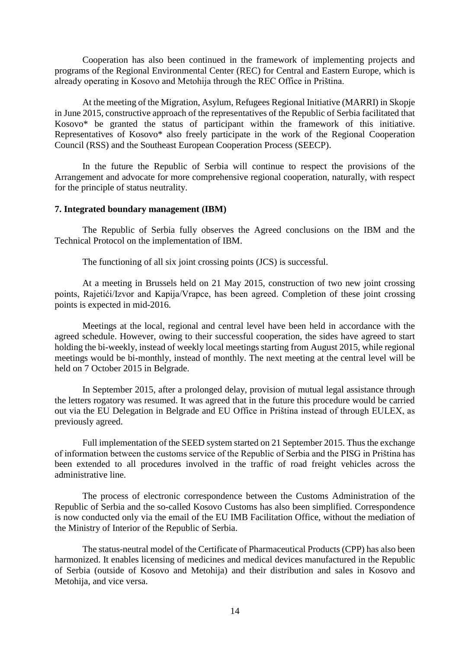Cooperation has also been continued in the framework of implementing projects and programs of the Regional Environmental Center (REC) for Central and Eastern Europe, which is already operating in Kosovo and Metohija through the REC Office in Priština.

At the meeting of the Migration, Asylum, Refugees Regional Initiative (MARRI) in Skopje in June 2015, constructive approach of the representatives of the Republic of Serbia facilitated that Kosovo\* be granted the status of participant within the framework of this initiative. Representatives of Kosovo\* also freely participate in the work of the Regional Cooperation Council (RSS) and the Southeast European Cooperation Process (SEECP).

In the future the Republic of Serbia will continue to respect the provisions of the Arrangement and advocate for more comprehensive regional cooperation, naturally, with respect for the principle of status neutrality.

#### **7. Integrated boundary management (IBM)**

The Republic of Serbia fully observes the Agreed conclusions on the IBM and the Technical Protocol on the implementation of IBM.

The functioning of all six joint crossing points (JCS) is successful.

At a meeting in Brussels held on 21 May 2015, construction of two new joint crossing points, Rajetići/Izvor and Kapija/Vrapce, has been agreed. Completion of these joint crossing points is expected in mid-2016.

Meetings at the local, regional and central level have been held in accordance with the agreed schedule. However, owing to their successful cooperation, the sides have agreed to start holding the bi-weekly, instead of weekly local meetings starting from August 2015, while regional meetings would be bi-monthly, instead of monthly. The next meeting at the central level will be held on 7 October 2015 in Belgrade.

In September 2015, after a prolonged delay, provision of mutual legal assistance through the letters rogatory was resumed. It was agreed that in the future this procedure would be carried out via the EU Delegation in Belgrade and EU Office in Priština instead of through EULEX, as previously agreed.

Full implementation of the SEED system started on 21 September 2015. Thus the exchange of information between the customs service of the Republic of Serbia and the PISG in Priština has been extended to all procedures involved in the traffic of road freight vehicles across the administrative line.

The process of electronic correspondence between the Customs Administration of the Republic of Serbia and the so-called Kosovo Customs has also been simplified. Correspondence is now conducted only via the email of the EU IMB Facilitation Office, without the mediation of the Ministry of Interior of the Republic of Serbia.

The status-neutral model of the Certificate of Pharmaceutical Products (CPP) has also been harmonized. It enables licensing of medicines and medical devices manufactured in the Republic of Serbia (outside of Kosovo and Metohija) and their distribution and sales in Kosovo and Metohija, and vice versa.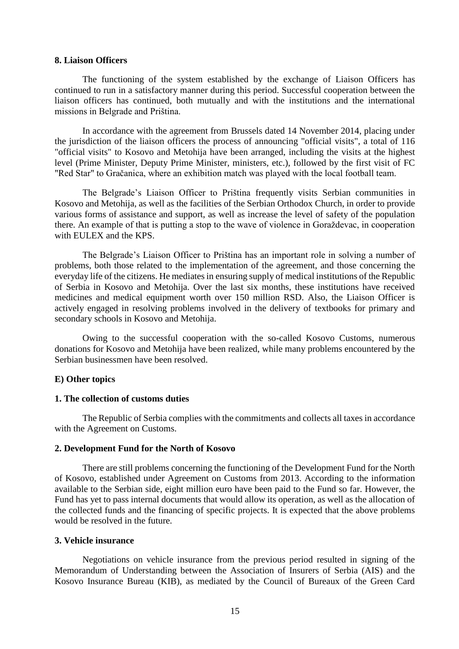#### **8. Liaison Officers**

The functioning of the system established by the exchange of Liaison Officers has continued to run in a satisfactory manner during this period. Successful cooperation between the liaison officers has continued, both mutually and with the institutions and the international missions in Belgrade and Priština.

In accordance with the agreement from Brussels dated 14 November 2014, placing under the jurisdiction of the liaison officers the process of announcing "official visits", a total of 116 "official visits" to Kosovo and Metohija have been arranged, including the visits at the highest level (Prime Minister, Deputy Prime Minister, ministers, etc.), followed by the first visit of FC "Red Star" to Gračanica, where an exhibition match was played with the local football team.

The Belgrade's Liaison Officer to Priština frequently visits Serbian communities in Kosovo and Metohija, as well as the facilities of the Serbian Orthodox Church, in order to provide various forms of assistance and support, as well as increase the level of safety of the population there. An example of that is putting a stop to the wave of violence in Goraždevac, in cooperation with EULEX and the KPS.

The Belgrade's Liaison Officer to Priština has an important role in solving a number of problems, both those related to the implementation of the agreement, and those concerning the everyday life of the citizens. He mediates in ensuring supply of medical institutions of the Republic of Serbia in Kosovo and Metohija. Over the last six months, these institutions have received medicines and medical equipment worth over 150 million RSD. Also, the Liaison Officer is actively engaged in resolving problems involved in the delivery of textbooks for primary and secondary schools in Kosovo and Metohija.

Owing to the successful cooperation with the so-called Kosovo Customs, numerous donations for Kosovo and Metohija have been realized, while many problems encountered by the Serbian businessmen have been resolved.

#### **E) Other topics**

#### **1. The collection of customs duties**

The Republic of Serbia complies with the commitments and collects all taxes in accordance with the Agreement on Customs.

#### **2. Development Fund for the North of Kosovo**

There are still problems concerning the functioning of the Development Fund for the North of Kosovo, established under Agreement on Customs from 2013. According to the information available to the Serbian side, eight million euro have been paid to the Fund so far. However, the Fund has yet to pass internal documents that would allow its operation, as well as the allocation of the collected funds and the financing of specific projects. It is expected that the above problems would be resolved in the future.

#### **3. Vehicle insurance**

Negotiations on vehicle insurance from the previous period resulted in signing of the Memorandum of Understanding between the Association of Insurers of Serbia (AIS) and the Kosovo Insurance Bureau (KIB), as mediated by the Council of Bureaux of the Green Card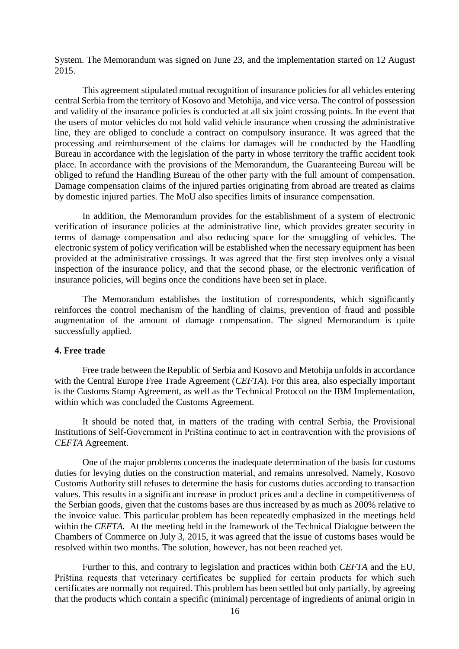System. The Memorandum was signed on June 23, and the implementation started on 12 August 2015.

This agreement stipulated mutual recognition of insurance policies for all vehicles entering central Serbia from the territory of Kosovo and Metohija, and vice versa. The control of possession and validity of the insurance policies is conducted at all six joint crossing points. In the event that the users of motor vehicles do not hold valid vehicle insurance when crossing the administrative line, they are obliged to conclude a contract on compulsory insurance. It was agreed that the processing and reimbursement of the claims for damages will be conducted by the Handling Bureau in accordance with the legislation of the party in whose territory the traffic accident took place. In accordance with the provisions of the Memorandum, the Guaranteeing Bureau will be obliged to refund the Handling Bureau of the other party with the full amount of compensation. Damage compensation claims of the injured parties originating from abroad are treated as claims by domestic injured parties. The MoU also specifies limits of insurance compensation.

In addition, the Memorandum provides for the establishment of a system of electronic verification of insurance policies at the administrative line, which provides greater security in terms of damage compensation and also reducing space for the smuggling of vehicles. The electronic system of policy verification will be established when the necessary equipment has been provided at the administrative crossings. It was agreed that the first step involves only a visual inspection of the insurance policy, and that the second phase, or the electronic verification of insurance policies, will begins once the conditions have been set in place.

The Memorandum establishes the institution of correspondents, which significantly reinforces the control mechanism of the handling of claims, prevention of fraud and possible augmentation of the amount of damage compensation. The signed Memorandum is quite successfully applied.

#### **4. Free trade**

Free trade between the Republic of Serbia and Kosovo and Metohija unfolds in accordance with the Central Europe Free Trade Agreement (*CEFTA*). For this area, also especially important is the Customs Stamp Agreement, as well as the Technical Protocol on the IBM Implementation, within which was concluded the Customs Agreement.

It should be noted that, in matters of the trading with central Serbia, the Provisional Institutions of Self-Government in Priština continue to act in contravention with the provisions of *CEFTA* Agreement.

One of the major problems concerns the inadequate determination of the basis for customs duties for levying duties on the construction material, and remains unresolved. Namely, Kosovo Customs Authority still refuses to determine the basis for customs duties according to transaction values. This results in a significant increase in product prices and a decline in competitiveness of the Serbian goods, given that the customs bases are thus increased by as much as 200% relative to the invoice value. This particular problem has been repeatedly emphasized in the meetings held within the *CEFTA.* At the meeting held in the framework of the Technical Dialogue between the Chambers of Commerce on July 3, 2015, it was agreed that the issue of customs bases would be resolved within two months. The solution, however, has not been reached yet.

Further to this, and contrary to legislation and practices within both *CEFTA* and the EU, Priština requests that veterinary certificates be supplied for certain products for which such certificates are normally not required. This problem has been settled but only partially, by agreeing that the products which contain a specific (minimal) percentage of ingredients of animal origin in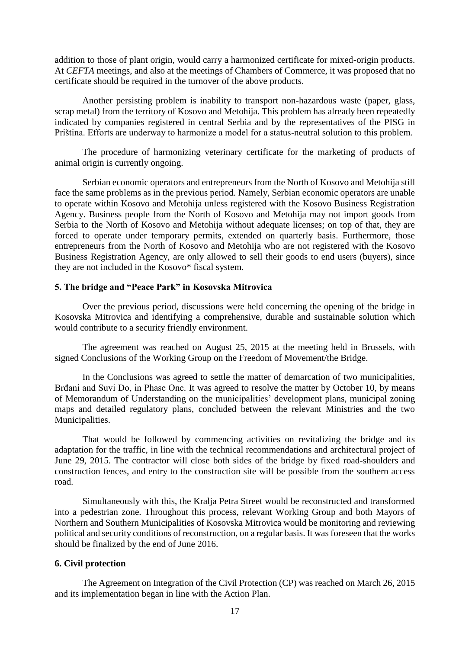addition to those of plant origin, would carry a harmonized certificate for mixed-origin products. At *CEFTA* meetings, and also at the meetings of Chambers of Commerce, it was proposed that no certificate should be required in the turnover of the above products.

Another persisting problem is inability to transport non-hazardous waste (paper, glass, scrap metal) from the territory of Kosovo and Metohija. This problem has already been repeatedly indicated by companies registered in central Serbia and by the representatives of the PISG in Priština. Efforts are underway to harmonize a model for a status-neutral solution to this problem.

The procedure of harmonizing veterinary certificate for the marketing of products of animal origin is currently ongoing.

Serbian economic operators and entrepreneurs from the North of Kosovo and Metohija still face the same problems as in the previous period. Namely, Serbian economic operators are unable to operate within Kosovo and Metohija unless registered with the Kosovo Business Registration Agency. Business people from the North of Kosovo and Metohija may not import goods from Serbia to the North of Kosovo and Metohija without adequate licenses; on top of that, they are forced to operate under temporary permits, extended on quarterly basis. Furthermore, those entrepreneurs from the North of Kosovo and Metohija who are not registered with the Kosovo Business Registration Agency, are only allowed to sell their goods to end users (buyers), since they are not included in the Kosovo\* fiscal system.

#### **5. The bridge and "Peace Park" in Kosovska Mitrovica**

Over the previous period, discussions were held concerning the opening of the bridge in Kosovska Mitrovica and identifying a comprehensive, durable and sustainable solution which would contribute to a security friendly environment.

The agreement was reached on August 25, 2015 at the meeting held in Brussels, with signed Conclusions of the Working Group on the Freedom of Movement/the Bridge.

In the Conclusions was agreed to settle the matter of demarcation of two municipalities, Brđani and Suvi Do, in Phase One. It was agreed to resolve the matter by October 10, by means of Memorandum of Understanding on the municipalities' development plans, municipal zoning maps and detailed regulatory plans, concluded between the relevant Ministries and the two Municipalities.

That would be followed by commencing activities on revitalizing the bridge and its adaptation for the traffic, in line with the technical recommendations and architectural project of June 29, 2015. The contractor will close both sides of the bridge by fixed road-shoulders and construction fences, and entry to the construction site will be possible from the southern access road.

Simultaneously with this, the Kralja Petra Street would be reconstructed and transformed into a pedestrian zone. Throughout this process, relevant Working Group and both Mayors of Northern and Southern Municipalities of Kosovska Mitrovica would be monitoring and reviewing political and security conditions of reconstruction, on a regular basis. It was foreseen that the works should be finalized by the end of June 2016.

#### **6. Civil protection**

The Agreement on Integration of the Civil Protection (CP) was reached on March 26, 2015 and its implementation began in line with the Action Plan.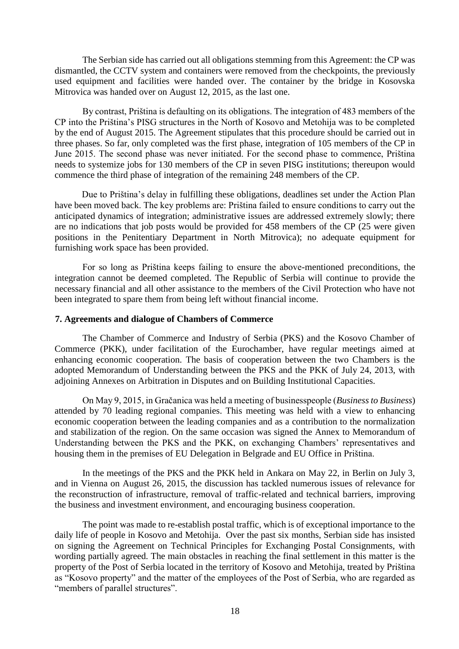The Serbian side has carried out all obligations stemming from this Agreement: the CP was dismantled, the CCTV system and containers were removed from the checkpoints, the previously used equipment and facilities were handed over. The container by the bridge in Kosovska Mitrovica was handed over on August 12, 2015, as the last one.

By contrast, Priština is defaulting on its obligations. The integration of 483 members of the CP into the Priština's PISG structures in the North of Kosovo and Metohija was to be completed by the end of August 2015. The Agreement stipulates that this procedure should be carried out in three phases. So far, only completed was the first phase, integration of 105 members of the CP in June 2015. The second phase was never initiated. For the second phase to commence, Priština needs to systemize jobs for 130 members of the CP in seven PISG institutions; thereupon would commence the third phase of integration of the remaining 248 members of the CP.

Due to Priština's delay in fulfilling these obligations, deadlines set under the Action Plan have been moved back. The key problems are: Priština failed to ensure conditions to carry out the anticipated dynamics of integration; administrative issues are addressed extremely slowly; there are no indications that job posts would be provided for 458 members of the CP (25 were given positions in the Penitentiary Department in North Mitrovica); no adequate equipment for furnishing work space has been provided.

For so long as Priština keeps failing to ensure the above-mentioned preconditions, the integration cannot be deemed completed. The Republic of Serbia will continue to provide the necessary financial and all other assistance to the members of the Civil Protection who have not been integrated to spare them from being left without financial income.

#### **7. Agreements and dialogue of Chambers of Commerce**

The Chamber of Commerce and Industry of Serbia (PKS) and the Kosovo Chamber of Commerce (PKK), under facilitation of the Eurochamber, have regular meetings aimed at enhancing economic cooperation. The basis of cooperation between the two Chambers is the adopted Memorandum of Understanding between the PKS and the PKK of July 24, 2013, with adjoining Annexes on Arbitration in Disputes and on Building Institutional Capacities.

On May 9, 2015, in Gračanica was held a meeting of businesspeople (*Business to Business*) attended by 70 leading regional companies. This meeting was held with a view to enhancing economic cooperation between the leading companies and as a contribution to the normalization and stabilization of the region. On the same occasion was signed the Annex to Memorandum of Understanding between the PKS and the PKK, on exchanging Chambers' representatives and housing them in the premises of EU Delegation in Belgrade and EU Office in Priština.

In the meetings of the PKS and the PKK held in Ankara on May 22, in Berlin on July 3, and in Vienna on August 26, 2015, the discussion has tackled numerous issues of relevance for the reconstruction of infrastructure, removal of traffic-related and technical barriers, improving the business and investment environment, and encouraging business cooperation.

The point was made to re-establish postal traffic, which is of exceptional importance to the daily life of people in Kosovo and Metohija. Over the past six months, Serbian side has insisted on signing the Agreement on Technical Principles for Exchanging Postal Consignments, with wording partially agreed. The main obstacles in reaching the final settlement in this matter is the property of the Post of Serbia located in the territory of Kosovo and Metohija, treated by Priština as "Kosovo property" and the matter of the employees of the Post of Serbia, who are regarded as "members of parallel structures".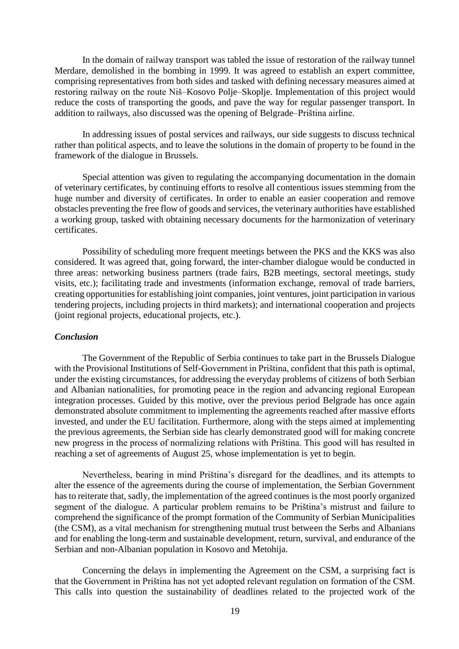In the domain of railway transport was tabled the issue of restoration of the railway tunnel Merdare, demolished in the bombing in 1999. It was agreed to establish an expert committee, comprising representatives from both sides and tasked with defining necessary measures aimed at restoring railway on the route Niš–Kosovo Polje–Skoplje. Implementation of this project would reduce the costs of transporting the goods, and pave the way for regular passenger transport. In addition to railways, also discussed was the opening of Belgrade–Priština airline.

In addressing issues of postal services and railways, our side suggests to discuss technical rather than political aspects, and to leave the solutions in the domain of property to be found in the framework of the dialogue in Brussels.

Special attention was given to regulating the accompanying documentation in the domain of veterinary certificates, by continuing efforts to resolve all contentious issues stemming from the huge number and diversity of certificates. In order to enable an easier cooperation and remove obstacles preventing the free flow of goods and services, the veterinary authorities have established a working group, tasked with obtaining necessary documents for the harmonization of veterinary certificates.

Possibility of scheduling more frequent meetings between the PKS and the KKS was also considered. It was agreed that, going forward, the inter-chamber dialogue would be conducted in three areas: networking business partners (trade fairs, B2B meetings, sectoral meetings, study visits, etc.); facilitating trade and investments (information exchange, removal of trade barriers, creating opportunities for establishing joint companies, joint ventures, joint participation in various tendering projects, including projects in third markets); and international cooperation and projects (joint regional projects, educational projects, etc.).

#### *Conclusion*

The Government of the Republic of Serbia continues to take part in the Brussels Dialogue with the Provisional Institutions of Self-Government in Priština, confident that this path is optimal, under the existing circumstances, for addressing the everyday problems of citizens of both Serbian and Albanian nationalities, for promoting peace in the region and advancing regional European integration processes. Guided by this motive, over the previous period Belgrade has once again demonstrated absolute commitment to implementing the agreements reached after massive efforts invested, and under the EU facilitation. Furthermore, along with the steps aimed at implementing the previous agreements, the Serbian side has clearly demonstrated good will for making concrete new progress in the process of normalizing relations with Priština. This good will has resulted in reaching a set of agreements of August 25, whose implementation is yet to begin.

Nevertheless, bearing in mind Priština's disregard for the deadlines, and its attempts to alter the essence of the agreements during the course of implementation, the Serbian Government has to reiterate that, sadly, the implementation of the agreed continues is the most poorly organized segment of the dialogue. A particular problem remains to be Priština's mistrust and failure to comprehend the significance of the prompt formation of the Community of Serbian Municipalities (the CSM), as a vital mechanism for strengthening mutual trust between the Serbs and Albanians and for enabling the long-term and sustainable development, return, survival, and endurance of the Serbian and non-Albanian population in Kosovo and Metohija.

Concerning the delays in implementing the Agreement on the CSM, a surprising fact is that the Government in Priština has not yet adopted relevant regulation on formation of the CSM. This calls into question the sustainability of deadlines related to the projected work of the